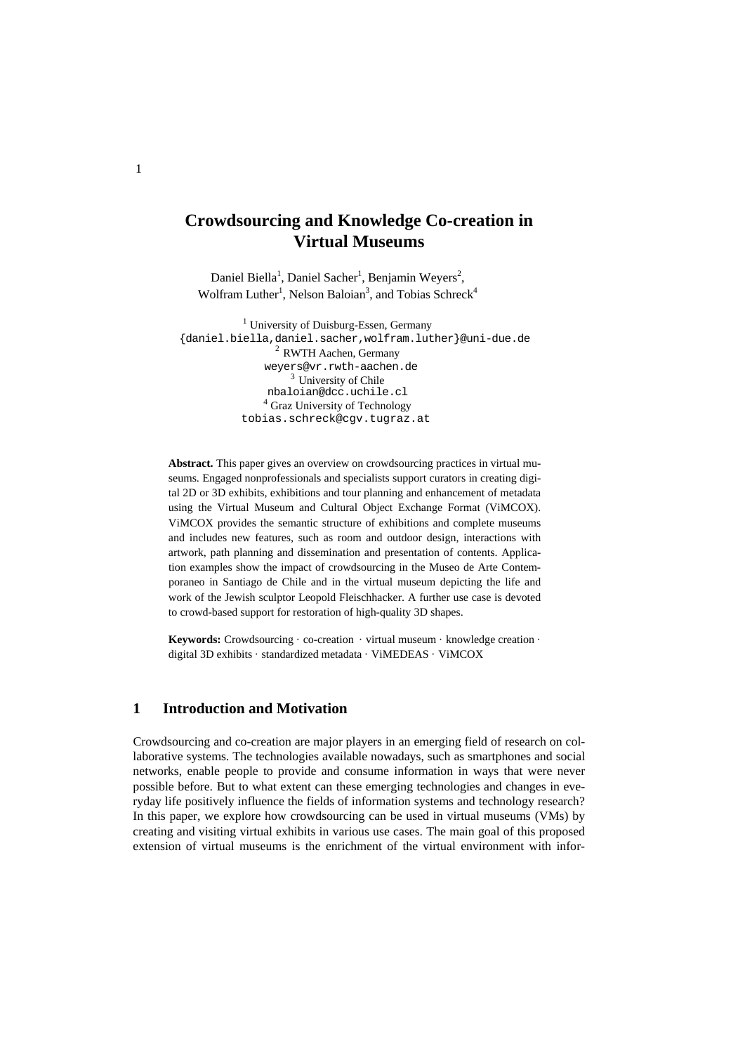# **Crowdsourcing and Knowledge Co-creation in Virtual Museums**

Daniel Biella<sup>1</sup>, Daniel Sacher<sup>1</sup>, Benjamin Weyers<sup>2</sup>, Wolfram Luther<sup>1</sup>, Nelson Baloian<sup>3</sup>, and Tobias Schreck<sup>4</sup>

<sup>1</sup> University of Duisburg-Essen, Germany {daniel.biella,daniel.sacher,wolfram.luther}@uni-due.de <sup>2</sup> RWTH Aachen, Germany weyers@vr.rwth-aachen.de<br> $3$  University of Chile nbaloian@dcc.uchile.cl <sup>4</sup> Graz University of Technology [tobias.schreck@cgv.tugraz.at](mailto:tobias.schreck@cgv.tugraz.at)

**Abstract.** This paper gives an overview on crowdsourcing practices in virtual museums. Engaged nonprofessionals and specialists support curators in creating digital 2D or 3D exhibits, exhibitions and tour planning and enhancement of metadata using the Virtual Museum and Cultural Object Exchange Format (ViMCOX). ViMCOX provides the semantic structure of exhibitions and complete museums and includes new features, such as room and outdoor design, interactions with artwork, path planning and dissemination and presentation of contents. Application examples show the impact of crowdsourcing in the Museo de Arte Contemporaneo in Santiago de Chile and in the virtual museum depicting the life and work of the Jewish sculptor Leopold Fleischhacker. A further use case is devoted to crowd-based support for restoration of high-quality 3D shapes.

**Keywords:** Crowdsourcing · co-creation · virtual museum · knowledge creation · digital 3D exhibits · standardized metadata · ViMEDEAS · ViMCOX

## **1 Introduction and Motivation**

Crowdsourcing and co-creation are major players in an emerging field of research on collaborative systems. The technologies available nowadays, such as smartphones and social networks, enable people to provide and consume information in ways that were never possible before. But to what extent can these emerging technologies and changes in everyday life positively influence the fields of information systems and technology research? In this paper, we explore how crowdsourcing can be used in virtual museums (VMs) by creating and visiting virtual exhibits in various use cases. The main goal of this proposed extension of virtual museums is the enrichment of the virtual environment with infor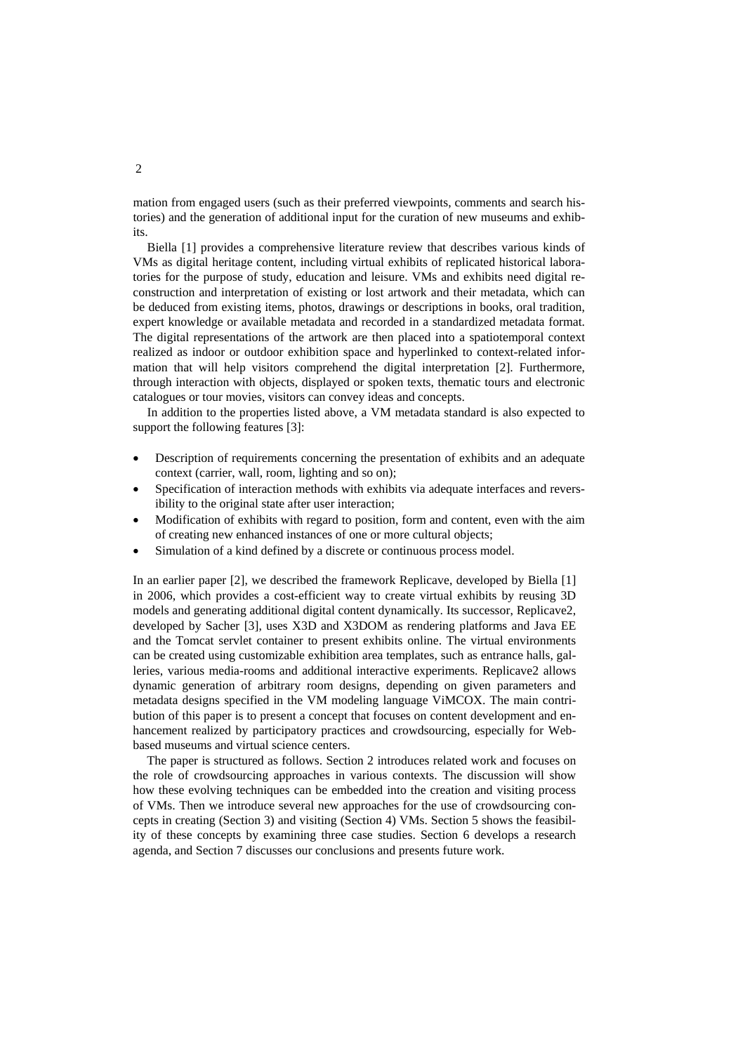mation from engaged users (such as their preferred viewpoints, comments and search histories) and the generation of additional input for the curation of new museums and exhibits.

Biella [1] provides a comprehensive literature review that describes various kinds of VMs as digital heritage content, including virtual exhibits of replicated historical laboratories for the purpose of study, education and leisure. VMs and exhibits need digital reconstruction and interpretation of existing or lost artwork and their metadata, which can be deduced from existing items, photos, drawings or descriptions in books, oral tradition, expert knowledge or available metadata and recorded in a standardized metadata format. The digital representations of the artwork are then placed into a spatiotemporal context realized as indoor or outdoor exhibition space and hyperlinked to context-related information that will help visitors comprehend the digital interpretation [2]. Furthermore, through interaction with objects, displayed or spoken texts, thematic tours and electronic catalogues or tour movies, visitors can convey ideas and concepts.

In addition to the properties listed above, a VM metadata standard is also expected to support the following features [3]:

- Description of requirements concerning the presentation of exhibits and an adequate context (carrier, wall, room, lighting and so on);
- Specification of interaction methods with exhibits via adequate interfaces and reversibility to the original state after user interaction;
- Modification of exhibits with regard to position, form and content, even with the aim of creating new enhanced instances of one or more cultural objects;
- Simulation of a kind defined by a discrete or continuous process model.

In an earlier paper [2], we described the framework Replicave, developed by Biella [1] in 2006, which provides a cost-efficient way to create virtual exhibits by reusing 3D models and generating additional digital content dynamically. Its successor, Replicave2, developed by Sacher [3], uses X3D and X3DOM as rendering platforms and Java EE and the Tomcat servlet container to present exhibits online. The virtual environments can be created using customizable exhibition area templates, such as entrance halls, galleries, various media-rooms and additional interactive experiments. Replicave2 allows dynamic generation of arbitrary room designs, depending on given parameters and metadata designs specified in the VM modeling language ViMCOX. The main contribution of this paper is to present a concept that focuses on content development and enhancement realized by participatory practices and crowdsourcing, especially for Webbased museums and virtual science centers.

The paper is structured as follows. Section 2 introduces related work and focuses on the role of crowdsourcing approaches in various contexts. The discussion will show how these evolving techniques can be embedded into the creation and visiting process of VMs. Then we introduce several new approaches for the use of crowdsourcing concepts in creating (Section 3) and visiting (Section 4) VMs. Section 5 shows the feasibility of these concepts by examining three case studies. Section 6 develops a research agenda, and Section 7 discusses our conclusions and presents future work.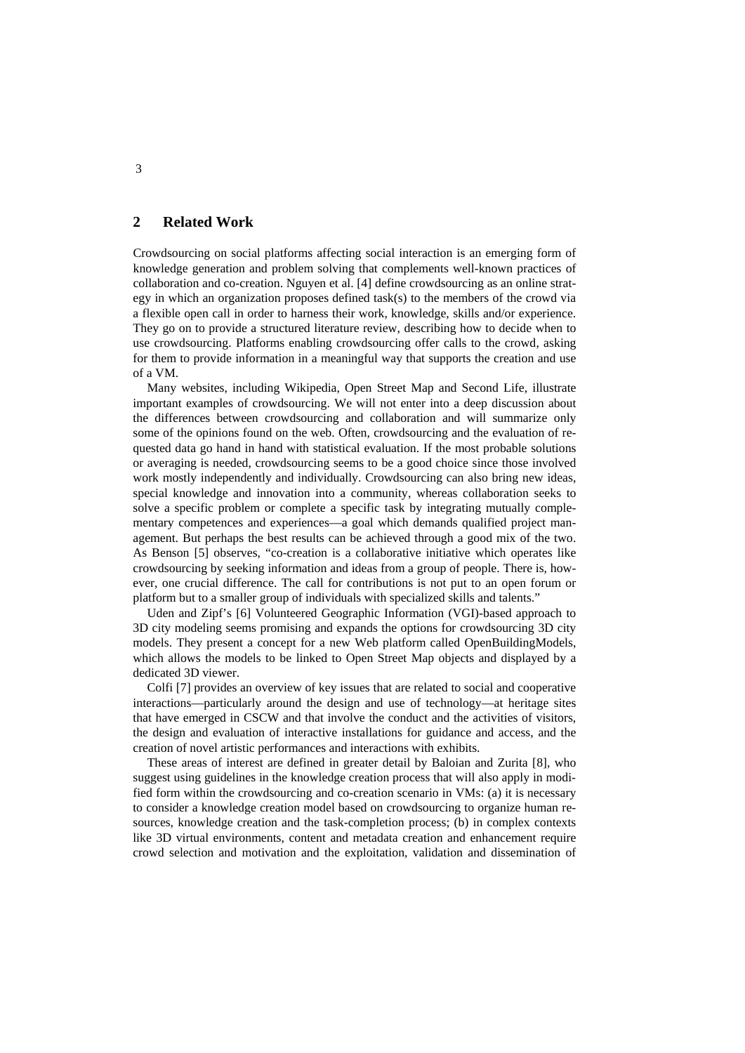### **2 Related Work**

Crowdsourcing on social platforms affecting social interaction is an emerging form of knowledge generation and problem solving that complements well-known practices of collaboration and co-creation. Nguyen et al. [4] define crowdsourcing as an online strategy in which an organization proposes defined task(s) to the members of the crowd via a flexible open call in order to harness their work, knowledge, skills and/or experience. They go on to provide a structured literature review, describing how to decide when to use crowdsourcing. Platforms enabling crowdsourcing offer calls to the crowd, asking for them to provide information in a meaningful way that supports the creation and use of a VM.

Many websites, including Wikipedia, Open Street Map and Second Life, illustrate important examples of crowdsourcing. We will not enter into a deep discussion about the differences between crowdsourcing and collaboration and will summarize only some of the opinions found on the web. Often, crowdsourcing and the evaluation of requested data go hand in hand with statistical evaluation. If the most probable solutions or averaging is needed, crowdsourcing seems to be a good choice since those involved work mostly independently and individually. Crowdsourcing can also bring new ideas, special knowledge and innovation into a community, whereas collaboration seeks to solve a specific problem or complete a specific task by integrating mutually complementary competences and experiences—a goal which demands qualified project management. But perhaps the best results can be achieved through a good mix of the two. As Benson [5] observes, "co-creation is a collaborative initiative which operates like crowdsourcing by seeking information and ideas from a group of people. There is, however, one crucial difference. The call for contributions is not put to an open forum or platform but to a smaller group of individuals with specialized skills and talents."

Uden and Zipf's [6] Volunteered Geographic Information (VGI)-based approach to 3D city modeling seems promising and expands the options for crowdsourcing 3D city models. They present a concept for a new Web platform called OpenBuildingModels, which allows the models to be linked to Open Street Map objects and displayed by a dedicated 3D viewer.

Colfi [7] provides an overview of key issues that are related to social and cooperative interactions—particularly around the design and use of technology—at heritage sites that have emerged in CSCW and that involve the conduct and the activities of visitors, the design and evaluation of interactive installations for guidance and access, and the creation of novel artistic performances and interactions with exhibits.

These areas of interest are defined in greater detail by Baloian and Zurita [8], who suggest using guidelines in the knowledge creation process that will also apply in modified form within the crowdsourcing and co-creation scenario in VMs: (a) it is necessary to consider a knowledge creation model based on crowdsourcing to organize human resources, knowledge creation and the task-completion process; (b) in complex contexts like 3D virtual environments, content and metadata creation and enhancement require crowd selection and motivation and the exploitation, validation and dissemination of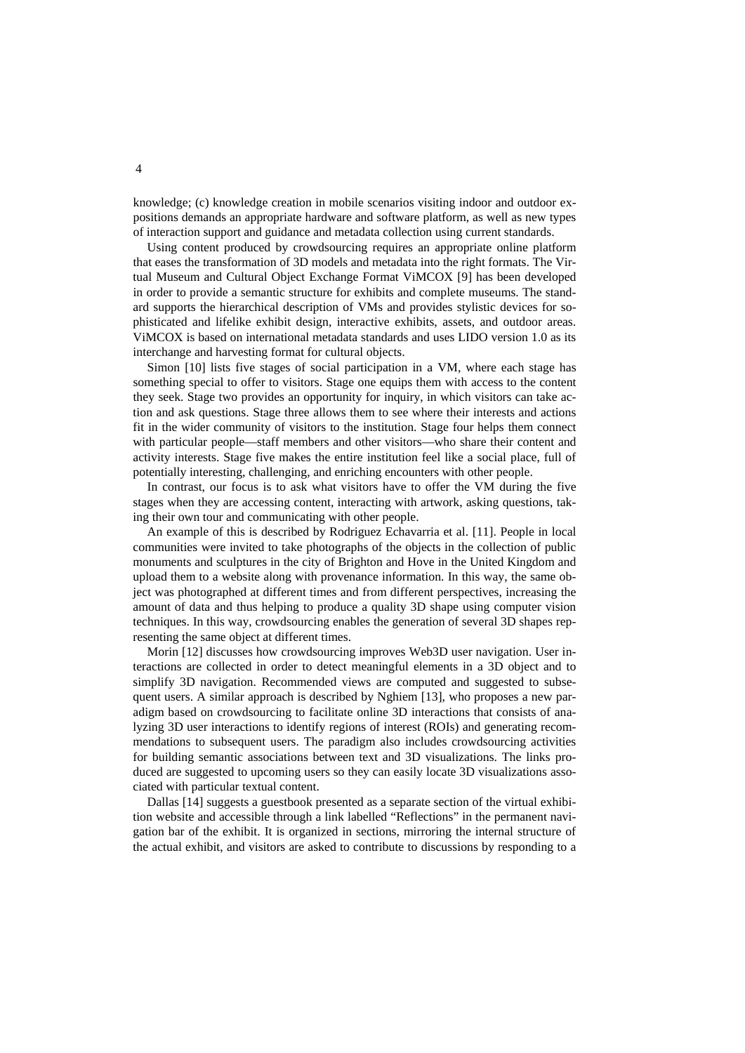knowledge; (c) knowledge creation in mobile scenarios visiting indoor and outdoor expositions demands an appropriate hardware and software platform, as well as new types of interaction support and guidance and metadata collection using current standards.

Using content produced by crowdsourcing requires an appropriate online platform that eases the transformation of 3D models and metadata into the right formats. The Virtual Museum and Cultural Object Exchange Format ViMCOX [9] has been developed in order to provide a semantic structure for exhibits and complete museums. The standard supports the hierarchical description of VMs and provides stylistic devices for sophisticated and lifelike exhibit design, interactive exhibits, assets, and outdoor areas. ViMCOX is based on international metadata standards and uses LIDO version 1.0 as its interchange and harvesting format for cultural objects.

Simon [10] lists five stages of social participation in a VM, where each stage has something special to offer to visitors. Stage one equips them with access to the content they seek. Stage two provides an opportunity for inquiry, in which visitors can take action and ask questions. Stage three allows them to see where their interests and actions fit in the wider community of visitors to the institution. Stage four helps them connect with particular people—staff members and other visitors—who share their content and activity interests. Stage five makes the entire institution feel like a social place, full of potentially interesting, challenging, and enriching encounters with other people.

In contrast, our focus is to ask what visitors have to offer the VM during the five stages when they are accessing content, interacting with artwork, asking questions, taking their own tour and communicating with other people.

An example of this is described by Rodriguez Echavarria et al. [11]. People in local communities were invited to take photographs of the objects in the collection of public monuments and sculptures in the city of Brighton and Hove in the United Kingdom and upload them to a website along with provenance information. In this way, the same object was photographed at different times and from different perspectives, increasing the amount of data and thus helping to produce a quality 3D shape using computer vision techniques. In this way, crowdsourcing enables the generation of several 3D shapes representing the same object at different times.

Morin [12] discusses how crowdsourcing improves Web3D user navigation. User interactions are collected in order to detect meaningful elements in a 3D object and to simplify 3D navigation. Recommended views are computed and suggested to subsequent users. A similar approach is described by Nghiem [13], who proposes a new paradigm based on crowdsourcing to facilitate online 3D interactions that consists of analyzing 3D user interactions to identify regions of interest (ROIs) and generating recommendations to subsequent users. The paradigm also includes crowdsourcing activities for building semantic associations between text and 3D visualizations. The links produced are suggested to upcoming users so they can easily locate 3D visualizations associated with particular textual content.

Dallas [14] suggests a guestbook presented as a separate section of the virtual exhibition website and accessible through a link labelled "Reflections" in the permanent navigation bar of the exhibit. It is organized in sections, mirroring the internal structure of the actual exhibit, and visitors are asked to contribute to discussions by responding to a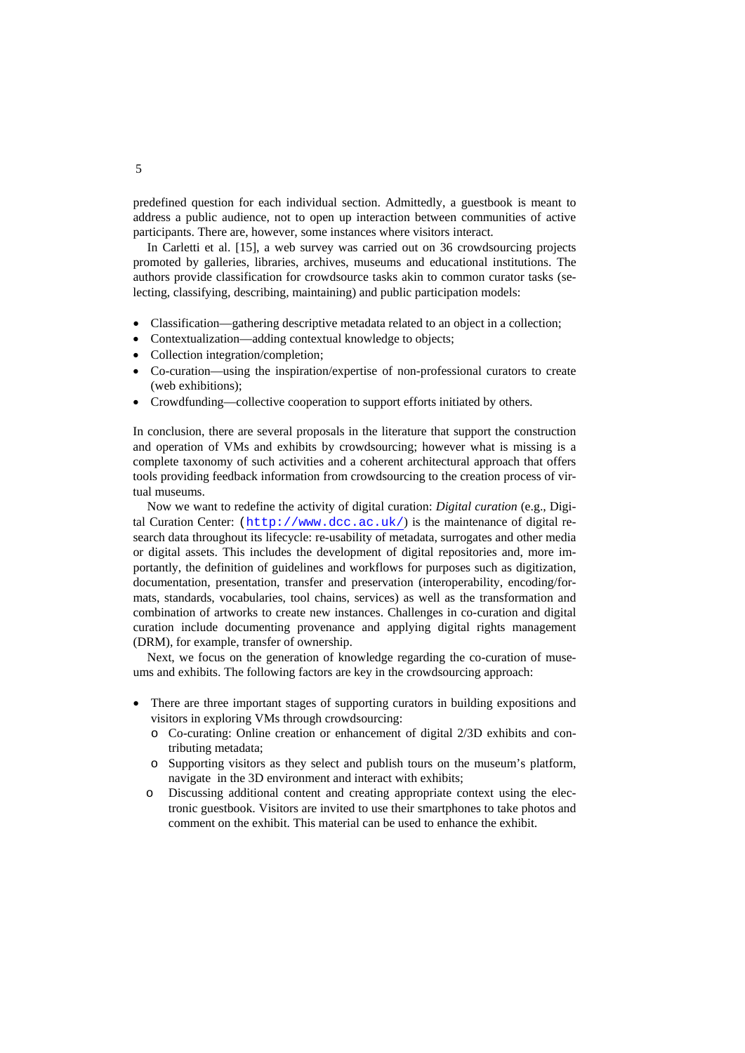predefined question for each individual section. Admittedly, a guestbook is meant to address a public audience, not to open up interaction between communities of active participants. There are, however, some instances where visitors interact.

In Carletti et al. [15], a web survey was carried out on 36 crowdsourcing projects promoted by galleries, libraries, archives, museums and educational institutions. The authors provide classification for crowdsource tasks akin to common curator tasks (selecting, classifying, describing, maintaining) and public participation models:

- Classification—gathering descriptive metadata related to an object in a collection;
- Contextualization—adding contextual knowledge to objects;
- Collection integration/completion;
- Co-curation—using the inspiration/expertise of non-professional curators to create (web exhibitions);
- Crowdfunding—collective cooperation to support efforts initiated by others.

In conclusion, there are several proposals in the literature that support the construction and operation of VMs and exhibits by crowdsourcing; however what is missing is a complete taxonomy of such activities and a coherent architectural approach that offers tools providing feedback information from crowdsourcing to the creation process of virtual museums.

Now we want to redefine the activity of digital curation: *Digital curation* (e.g., Digital Curation Center:  $(h \text{ttp}$ ://www.dcc.ac.uk/) is the maintenance of digital research data throughout its lifecycle: re-usability of metadata, surrogates and other media or digital assets. This includes the development of digital repositories and, more importantly, the definition of guidelines and workflows for purposes such as digitization, documentation, presentation, transfer and preservation (interoperability, encoding/formats, standards, vocabularies, tool chains, services) as well as the transformation and combination of artworks to create new instances. Challenges in co-curation and digital curation include documenting provenance and applying digital rights management (DRM), for example, transfer of ownership.

Next, we focus on the generation of knowledge regarding the co-curation of museums and exhibits. The following factors are key in the crowdsourcing approach:

- There are three important stages of supporting curators in building expositions and visitors in exploring VMs through crowdsourcing:
	- o Co-curating: Online creation or enhancement of digital 2/3D exhibits and contributing metadata;
	- o Supporting visitors as they select and publish tours on the museum's platform, navigate in the 3D environment and interact with exhibits;
	- o Discussing additional content and creating appropriate context using the electronic guestbook. Visitors are invited to use their smartphones to take photos and comment on the exhibit. This material can be used to enhance the exhibit.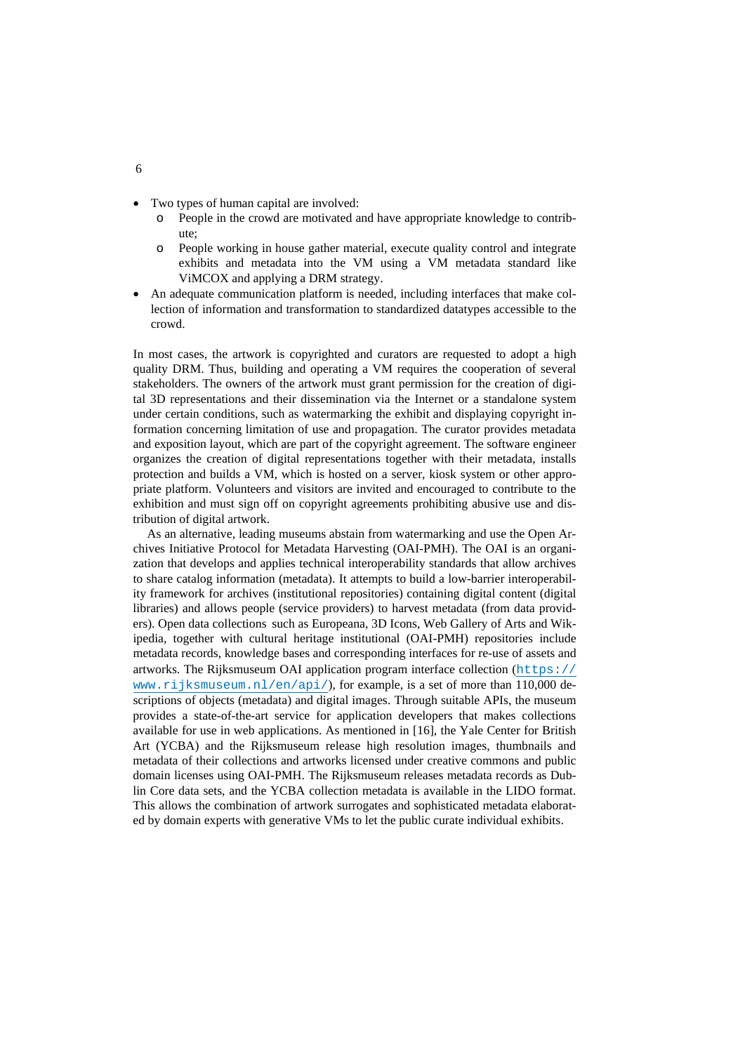- Two types of human capital are involved:
	- o People in the crowd are motivated and have appropriate knowledge to contribute;
	- o People working in house gather material, execute quality control and integrate exhibits and metadata into the VM using a VM metadata standard like ViMCOX and applying a DRM strategy.
- An adequate communication platform is needed, including interfaces that make collection of information and transformation to standardized datatypes accessible to the crowd.

In most cases, the artwork is copyrighted and curators are requested to adopt a high quality DRM. Thus, building and operating a VM requires the cooperation of several stakeholders. The owners of the artwork must grant permission for the creation of digital 3D representations and their dissemination via the Internet or a standalone system under certain conditions, such as watermarking the exhibit and displaying copyright information concerning limitation of use and propagation. The curator provides metadata and exposition layout, which are part of the copyright agreement. The software engineer organizes the creation of digital representations together with their metadata, installs protection and builds a VM, which is hosted on a server, kiosk system or other appropriate platform. Volunteers and visitors are invited and encouraged to contribute to the exhibition and must sign off on copyright agreements prohibiting abusive use and distribution of digital artwork.

As an alternative, leading museums abstain from watermarking and use the Open Archives Initiative Protocol for Metadata Harvesting (OAI-PMH). The OAI is an organization that develops and applies technical interoperability standards that allow archives to share catalog information (metadata). It attempts to build a low-barrier interoperability framework for archives (institutional repositories) containing digital content (digital libraries) and allows people (service providers) to harvest metadata (from data providers). Open data collections such as Europeana, 3D Icons, Web Gallery of Arts and Wikipedia, together with cultural heritage institutional (OAI-PMH) repositories include metadata records, knowledge bases and corresponding interfaces for re-use of assets and artworks. The Rijksmuseum OAI application program interface collection (https:// www.rijksmuseum.nl/en/api/), for example, is a set of more than 110,000 descriptions of objects (metadata) and digital images. Through suitable APIs, the museum provides a state-of-the-art service for application developers that makes collections available for use in web applications. As mentioned in [16], the Yale Center for British Art (YCBA) and the Rijksmuseum release high resolution images, thumbnails and metadata of their collections and artworks licensed under creative commons and public domain licenses using OAI-PMH. The Rijksmuseum releases metadata records as Dublin Core data sets, and the YCBA collection metadata is available in the LIDO format. This allows the combination of artwork surrogates and sophisticated metadata elaborated by domain experts with generative VMs to let the public curate individual exhibits.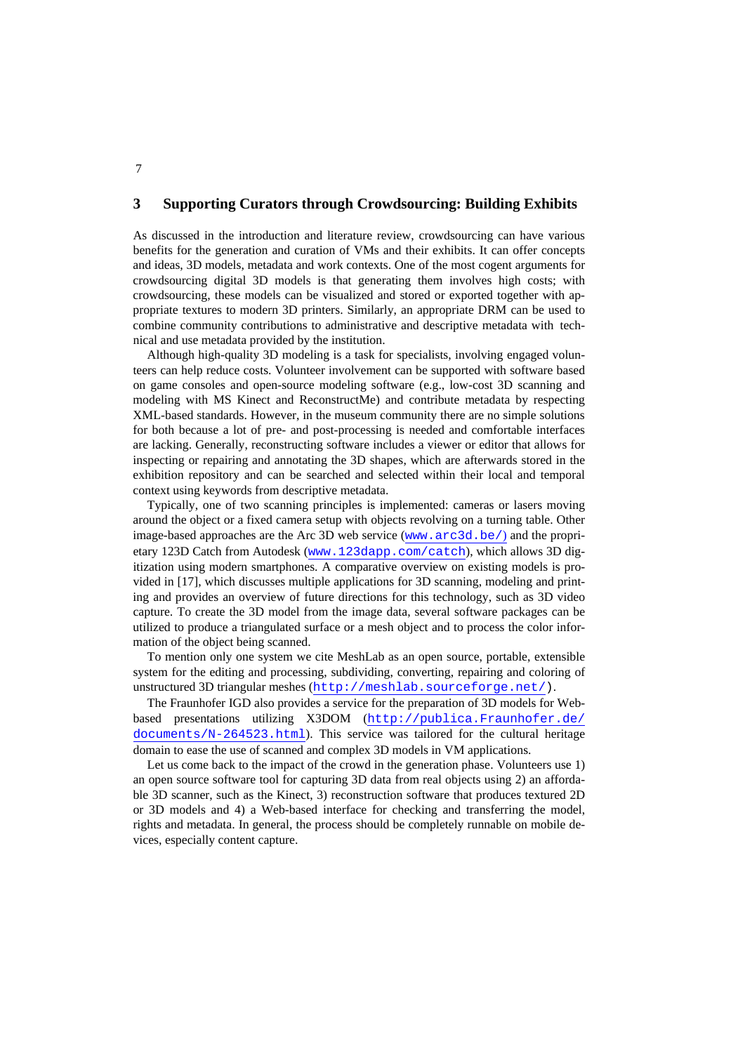## **3 Supporting Curators through Crowdsourcing: Building Exhibits**

As discussed in the introduction and literature review, crowdsourcing can have various benefits for the generation and curation of VMs and their exhibits. It can offer concepts and ideas, 3D models, metadata and work contexts. One of the most cogent arguments for crowdsourcing digital 3D models is that generating them involves high costs; with crowdsourcing, these models can be visualized and stored or exported together with appropriate textures to modern 3D printers. Similarly, an appropriate DRM can be used to combine community contributions to administrative and descriptive metadata with technical and use metadata provided by the institution.

Although high-quality 3D modeling is a task for specialists, involving engaged volunteers can help reduce costs. Volunteer involvement can be supported with software based on game consoles and open-source modeling software (e.g., low-cost 3D scanning and modeling with MS Kinect and ReconstructMe) and contribute metadata by respecting XML-based standards. However, in the museum community there are no simple solutions for both because a lot of pre- and post-processing is needed and comfortable interfaces are lacking. Generally, reconstructing software includes a viewer or editor that allows for inspecting or repairing and annotating the 3D shapes, which are afterwards stored in the exhibition repository and can be searched and selected within their local and temporal context using keywords from descriptive metadata.

Typically, one of two scanning principles is implemented: cameras or lasers moving around the object or a fixed camera setup with objects revolving on a turning table. Other image-based approaches are the Arc 3D web service ([www.arc3d.be/](http://www.arc3d.be/)) and the proprietary 123D Catch from Autodesk ([www.123dapp.com/catch](http://www.123dapp.com/catch)), which allows 3D digitization using modern smartphones. A comparative overview on existing models is provided in [17], which discusses multiple applications for 3D scanning, modeling and printing and provides an overview of future directions for this technology, such as 3D video capture. To create the 3D model from the image data, several software packages can be utilized to produce a triangulated surface or a mesh object and to process the color information of the object being scanned.

To mention only one system we cite MeshLab as an open source, portable, extensible system for the editing and processing, subdividing, converting, repairing and coloring of unstructured 3D triangular meshes ([http://meshlab.sourceforge.net/\)](http://meshlab.sourceforge.net/).

The Fraunhofer IGD also provides a service for the preparation of 3D models for Webbased presentations utilizing X3DOM ([http://publica.Fraunhofer.de/](http://publica.fraunhofer.de/%20documents/N-264523.html)  [documents/N-264523.html](http://publica.fraunhofer.de/%20documents/N-264523.html)). This service was tailored for the cultural heritage domain to ease the use of scanned and complex 3D models in VM applications.

Let us come back to the impact of the crowd in the generation phase. Volunteers use 1) an open source software tool for capturing 3D data from real objects using 2) an affordable 3D scanner, such as the Kinect, 3) reconstruction software that produces textured 2D or 3D models and 4) a Web-based interface for checking and transferring the model, rights and metadata. In general, the process should be completely runnable on mobile devices, especially content capture.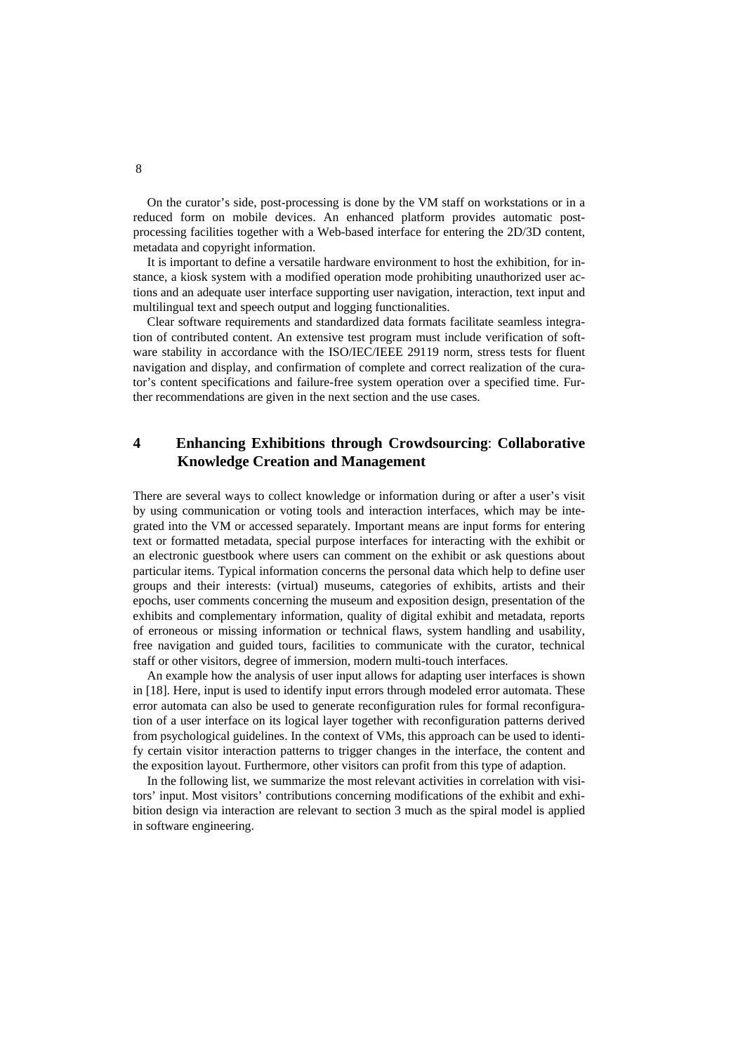On the curator's side, post-processing is done by the VM staff on workstations or in a reduced form on mobile devices. An enhanced platform provides automatic postprocessing facilities together with a Web-based interface for entering the 2D/3D content, metadata and copyright information.

It is important to define a versatile hardware environment to host the exhibition, for instance, a kiosk system with a modified operation mode prohibiting unauthorized user actions and an adequate user interface supporting user navigation, interaction, text input and multilingual text and speech output and logging functionalities.

Clear software requirements and standardized data formats facilitate seamless integration of contributed content. An extensive test program must include verification of software stability in accordance with the ISO/IEC/IEEE 29119 norm, stress tests for fluent navigation and display, and confirmation of complete and correct realization of the curator's content specifications and failure-free system operation over a specified time. Further recommendations are given in the next section and the use cases.

## **4 Enhancing Exhibitions through Crowdsourcing**: **Collaborative Knowledge Creation and Management**

There are several ways to collect knowledge or information during or after a user's visit by using communication or voting tools and interaction interfaces, which may be integrated into the VM or accessed separately. Important means are input forms for entering text or formatted metadata, special purpose interfaces for interacting with the exhibit or an electronic guestbook where users can comment on the exhibit or ask questions about particular items. Typical information concerns the personal data which help to define user groups and their interests: (virtual) museums, categories of exhibits, artists and their epochs, user comments concerning the museum and exposition design, presentation of the exhibits and complementary information, quality of digital exhibit and metadata, reports of erroneous or missing information or technical flaws, system handling and usability, free navigation and guided tours, facilities to communicate with the curator, technical staff or other visitors, degree of immersion, modern multi-touch interfaces.

An example how the analysis of user input allows for adapting user interfaces is shown in [18]. Here, input is used to identify input errors through modeled error automata. These error automata can also be used to generate reconfiguration rules for formal reconfiguration of a user interface on its logical layer together with reconfiguration patterns derived from psychological guidelines. In the context of VMs, this approach can be used to identify certain visitor interaction patterns to trigger changes in the interface, the content and the exposition layout. Furthermore, other visitors can profit from this type of adaption.

In the following list, we summarize the most relevant activities in correlation with visitors' input. Most visitors' contributions concerning modifications of the exhibit and exhibition design via interaction are relevant to section 3 much as the spiral model is applied in software engineering.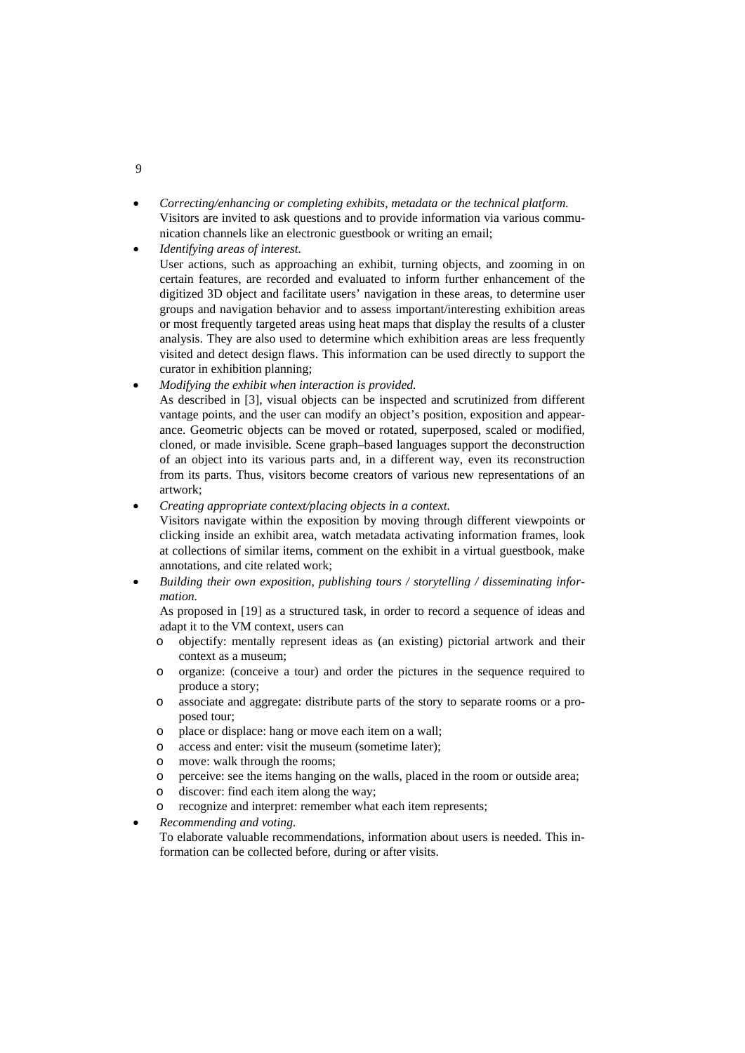- *Correcting/enhancing or completing exhibits, metadata or the technical platform.* Visitors are invited to ask questions and to provide information via various communication channels like an electronic guestbook or writing an email;
- *Identifying areas of interest.*

User actions, such as approaching an exhibit, turning objects, and zooming in on certain features, are recorded and evaluated to inform further enhancement of the digitized 3D object and facilitate users' navigation in these areas, to determine user groups and navigation behavior and to assess important/interesting exhibition areas or most frequently targeted areas using heat maps that display the results of a cluster analysis. They are also used to determine which exhibition areas are less frequently visited and detect design flaws. This information can be used directly to support the curator in exhibition planning;

• *Modifying the exhibit when interaction is provided.* As described in [3], visual objects can be inspected and scrutinized from different vantage points, and the user can modify an object's position, exposition and appearance. Geometric objects can be moved or rotated, superposed, scaled or modified,

cloned, or made invisible. Scene graph–based languages support the deconstruction of an object into its various parts and, in a different way, even its reconstruction from its parts. Thus, visitors become creators of various new representations of an artwork;

• *Creating appropriate context/placing objects in a context.*

Visitors navigate within the exposition by moving through different viewpoints or clicking inside an exhibit area, watch metadata activating information frames, look at collections of similar items, comment on the exhibit in a virtual guestbook, make annotations, and cite related work;

• *Building their own exposition, publishing tours / storytelling / disseminating information.*

As proposed in [19] as a structured task, in order to record a sequence of ideas and adapt it to the VM context, users can

- o objectify: mentally represent ideas as (an existing) pictorial artwork and their context as a museum;
- o organize: (conceive a tour) and order the pictures in the sequence required to produce a story;
- o associate and aggregate: distribute parts of the story to separate rooms or a proposed tour;
- o place or displace: hang or move each item on a wall;
- o access and enter: visit the museum (sometime later);
- o move: walk through the rooms;
- o perceive: see the items hanging on the walls, placed in the room or outside area;
- o discover: find each item along the way;
- o recognize and interpret: remember what each item represents;
- *Recommending and voting.*

To elaborate valuable recommendations, information about users is needed. This information can be collected before, during or after visits.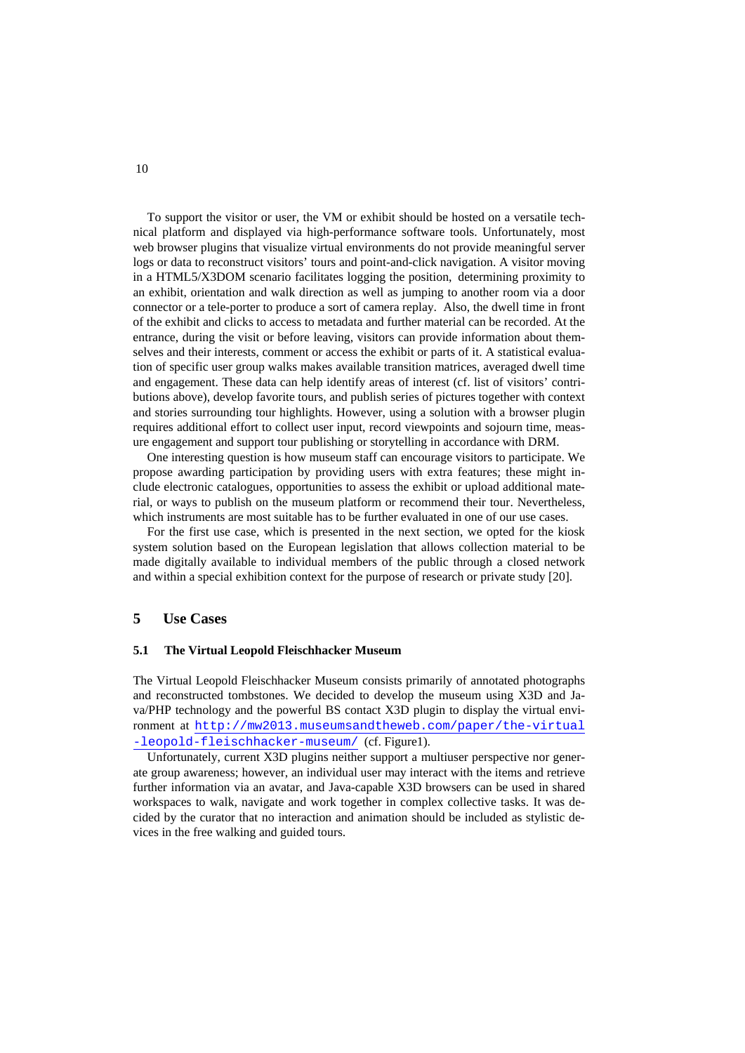To support the visitor or user, the VM or exhibit should be hosted on a versatile technical platform and displayed via high-performance software tools. Unfortunately, most web browser plugins that visualize virtual environments do not provide meaningful server logs or data to reconstruct visitors' tours and point-and-click navigation. A visitor moving in a HTML5/X3DOM scenario facilitates logging the position, determining proximity to an exhibit, orientation and walk direction as well as jumping to another room via a door connector or a tele-porter to produce a sort of camera replay. Also, the dwell time in front of the exhibit and clicks to access to metadata and further material can be recorded. At the entrance, during the visit or before leaving, visitors can provide information about themselves and their interests, comment or access the exhibit or parts of it. A statistical evaluation of specific user group walks makes available transition matrices, averaged dwell time and engagement. These data can help identify areas of interest (cf. list of visitors' contributions above), develop favorite tours, and publish series of pictures together with context and stories surrounding tour highlights. However, using a solution with a browser plugin requires additional effort to collect user input, record viewpoints and sojourn time, measure engagement and support tour publishing or storytelling in accordance with DRM.

One interesting question is how museum staff can encourage visitors to participate. We propose awarding participation by providing users with extra features; these might include electronic catalogues, opportunities to assess the exhibit or upload additional material, or ways to publish on the museum platform or recommend their tour. Nevertheless, which instruments are most suitable has to be further evaluated in one of our use cases.

For the first use case, which is presented in the next section, we opted for the kiosk system solution based on the European legislation that allows collection material to be made digitally available to individual members of the public through a closed network and within a special exhibition context for the purpose of research or private study [20].

### **5 Use Cases**

#### **5.1 The Virtual Leopold Fleischhacker Museum**

The Virtual Leopold Fleischhacker Museum consists primarily of annotated photographs and reconstructed tombstones. We decided to develop the museum using X3D and Java/PHP technology and the powerful BS contact X3D plugin to display the virtual environment at [http://mw2013.museumsandtheweb.com/paper/the-virtual](http://mw2013.museumsandtheweb.com/paper/the-virtual%20-leopold-fleischhacker-museum/)  [-leopold-fleischhacker-museum/](http://mw2013.museumsandtheweb.com/paper/the-virtual%20-leopold-fleischhacker-museum/) (cf. Figure1).

Unfortunately, current X3D plugins neither support a multiuser perspective nor generate group awareness; however, an individual user may interact with the items and retrieve further information via an avatar, and Java-capable X3D browsers can be used in shared workspaces to walk, navigate and work together in complex collective tasks. It was decided by the curator that no interaction and animation should be included as stylistic devices in the free walking and guided tours.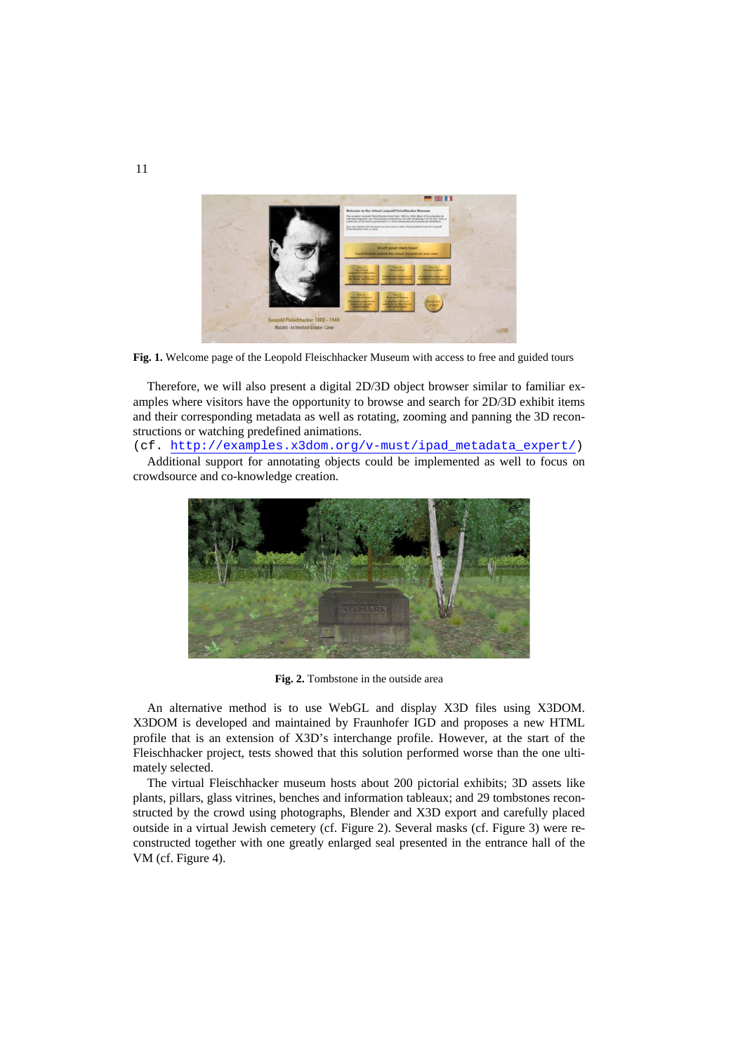

**Fig. 1.** Welcome page of the Leopold Fleischhacker Museum with access to free and guided tours

Therefore, we will also present a digital 2D/3D object browser similar to familiar examples where visitors have the opportunity to browse and search for 2D/3D exhibit items and their corresponding metadata as well as rotating, zooming and panning the 3D reconstructions or watching predefined animations.

(cf. [http://examples.x3dom.org/v-must/ipad\\_metadata\\_expert/\)](http://examples.x3dom.org/v-must/ipad_metadata_expert/)

Additional support for annotating objects could be implemented as well to focus on crowdsource and co-knowledge creation.



**Fig. 2.** Tombstone in the outside area

An alternative method is to use WebGL and display X3D files using X3DOM. X3DOM is developed and maintained by Fraunhofer IGD and proposes a new HTML profile that is an extension of X3D's interchange profile. However, at the start of the Fleischhacker project, tests showed that this solution performed worse than the one ultimately selected.

The virtual Fleischhacker museum hosts about 200 pictorial exhibits; 3D assets like plants, pillars, glass vitrines, benches and information tableaux; and 29 tombstones reconstructed by the crowd using photographs, Blender and X3D export and carefully placed outside in a virtual Jewish cemetery (cf. Figure 2). Several masks (cf. Figure 3) were reconstructed together with one greatly enlarged seal presented in the entrance hall of the VM (cf. Figure 4).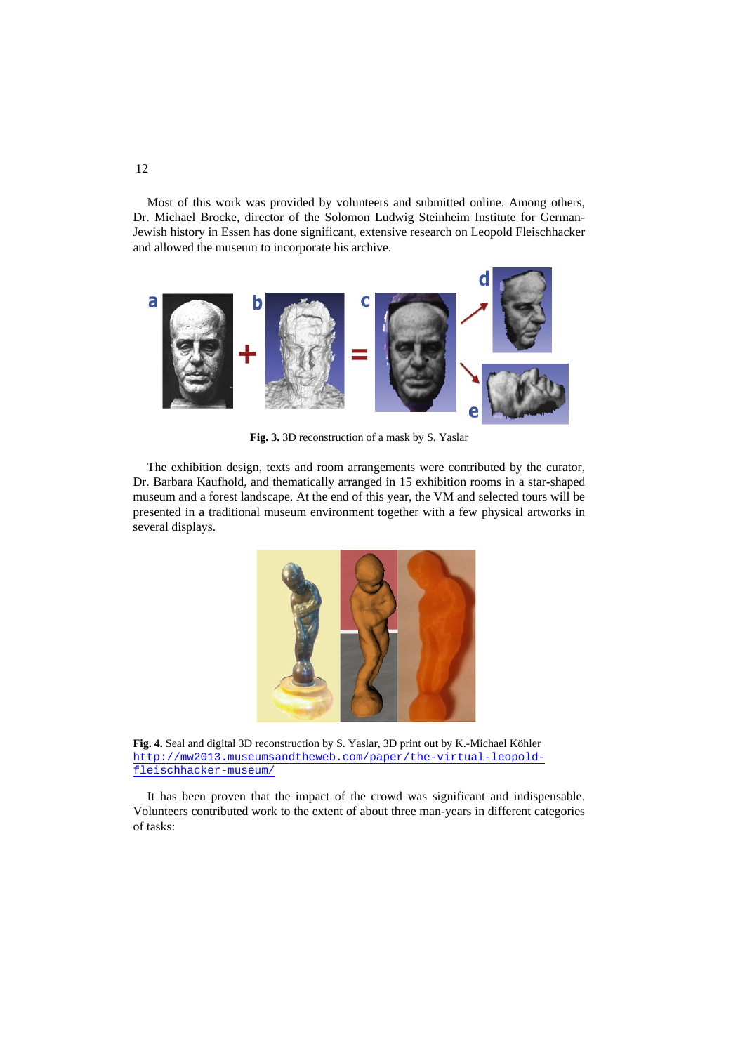Most of this work was provided by volunteers and submitted online. Among others, Dr. Michael Brocke, director of the Solomon Ludwig Steinheim Institute for German-Jewish history in Essen has done significant, extensive research on Leopold Fleischhacker and allowed the museum to incorporate his archive.



**Fig. 3.** 3D reconstruction of a mask by S. Yaslar

The exhibition design, texts and room arrangements were contributed by the curator, Dr. Barbara Kaufhold, and thematically arranged in 15 exhibition rooms in a star-shaped museum and a forest landscape. At the end of this year, the VM and selected tours will be presented in a traditional museum environment together with a few physical artworks in several displays.



**Fig. 4.** Seal and digital 3D reconstruction by S. Yaslar, 3D print out by K.-Michael Köhler [http://mw2013.museumsandtheweb.com/paper/the-virtual-leopold](http://mw2013.museumsandtheweb.com/paper/the-virtual-leopold-fleischhacker-museum/)[fleischhacker-museum/](http://mw2013.museumsandtheweb.com/paper/the-virtual-leopold-fleischhacker-museum/)

It has been proven that the impact of the crowd was significant and indispensable. Volunteers contributed work to the extent of about three man-years in different categories of tasks: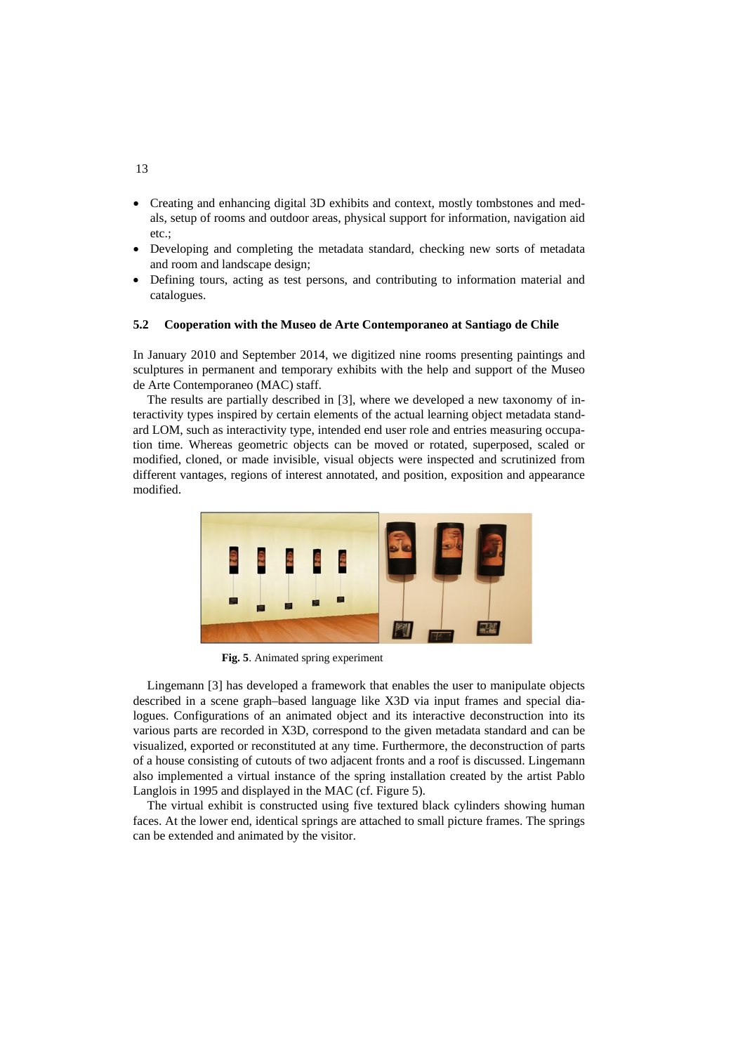- Creating and enhancing digital 3D exhibits and context, mostly tombstones and medals, setup of rooms and outdoor areas, physical support for information, navigation aid etc.;
- Developing and completing the metadata standard, checking new sorts of metadata and room and landscape design;
- Defining tours, acting as test persons, and contributing to information material and catalogues.

#### **5.2 Cooperation with the Museo de Arte Contemporaneo at Santiago de Chile**

In January 2010 and September 2014, we digitized nine rooms presenting paintings and sculptures in permanent and temporary exhibits with the help and support of the Museo de Arte Contemporaneo (MAC) staff.

The results are partially described in [3], where we developed a new taxonomy of interactivity types inspired by certain elements of the actual learning object metadata standard LOM, such as interactivity type, intended end user role and entries measuring occupation time. Whereas geometric objects can be moved or rotated, superposed, scaled or modified, cloned, or made invisible, visual objects were inspected and scrutinized from different vantages, regions of interest annotated, and position, exposition and appearance modified.



**Fig. 5**. Animated spring experiment

Lingemann [3] has developed a framework that enables the user to manipulate objects described in a scene graph–based language like X3D via input frames and special dialogues. Configurations of an animated object and its interactive deconstruction into its various parts are recorded in X3D, correspond to the given metadata standard and can be visualized, exported or reconstituted at any time. Furthermore, the deconstruction of parts of a house consisting of cutouts of two adjacent fronts and a roof is discussed. Lingemann also implemented a virtual instance of the spring installation created by the artist Pablo Langlois in 1995 and displayed in the MAC (cf. Figure 5).

The virtual exhibit is constructed using five textured black cylinders showing human faces. At the lower end, identical springs are attached to small picture frames. The springs can be extended and animated by the visitor.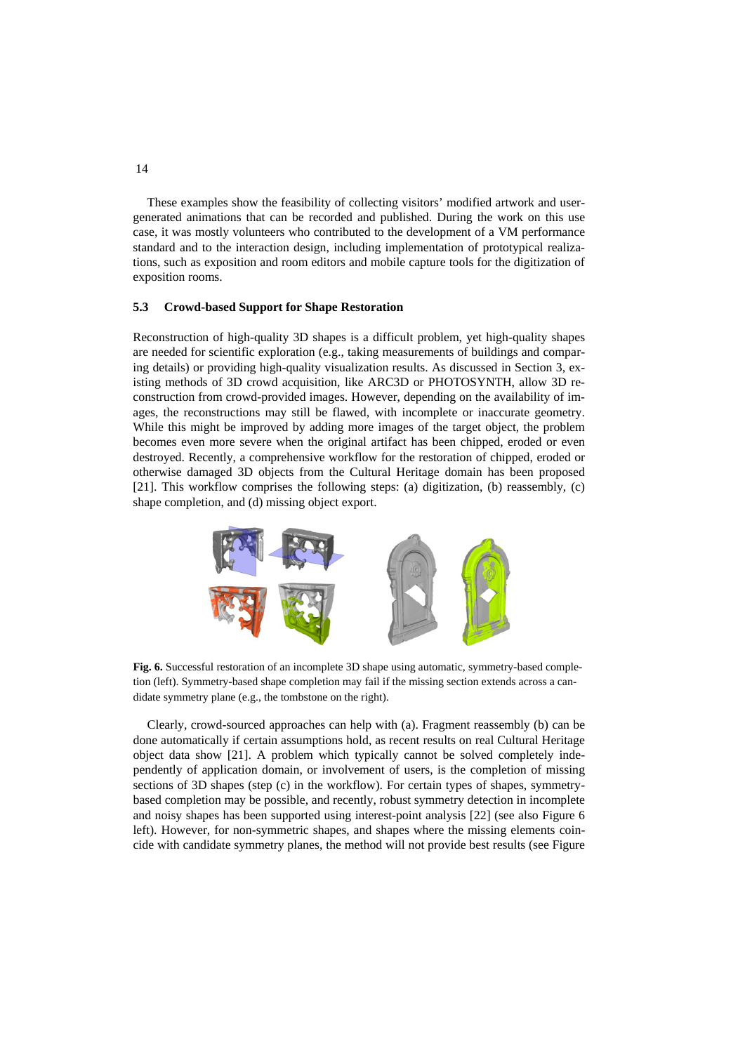These examples show the feasibility of collecting visitors' modified artwork and usergenerated animations that can be recorded and published. During the work on this use case, it was mostly volunteers who contributed to the development of a VM performance standard and to the interaction design, including implementation of prototypical realizations, such as exposition and room editors and mobile capture tools for the digitization of exposition rooms.

#### **5.3 Crowd-based Support for Shape Restoration**

Reconstruction of high-quality 3D shapes is a difficult problem, yet high-quality shapes are needed for scientific exploration (e.g., taking measurements of buildings and comparing details) or providing high-quality visualization results. As discussed in Section 3, existing methods of 3D crowd acquisition, like ARC3D or PHOTOSYNTH, allow 3D reconstruction from crowd-provided images. However, depending on the availability of images, the reconstructions may still be flawed, with incomplete or inaccurate geometry. While this might be improved by adding more images of the target object, the problem becomes even more severe when the original artifact has been chipped, eroded or even destroyed. Recently, a comprehensive workflow for the restoration of chipped, eroded or otherwise damaged 3D objects from the Cultural Heritage domain has been proposed [21]. This workflow comprises the following steps: (a) digitization, (b) reassembly, (c) shape completion, and (d) missing object export.



**Fig. 6.** Successful restoration of an incomplete 3D shape using automatic, symmetry-based completion (left). Symmetry-based shape completion may fail if the missing section extends across a candidate symmetry plane (e.g., the tombstone on the right).

Clearly, crowd-sourced approaches can help with (a). Fragment reassembly (b) can be done automatically if certain assumptions hold, as recent results on real Cultural Heritage object data show [21]. A problem which typically cannot be solved completely independently of application domain, or involvement of users, is the completion of missing sections of 3D shapes (step (c) in the workflow). For certain types of shapes, symmetrybased completion may be possible, and recently, robust symmetry detection in incomplete and noisy shapes has been supported using interest-point analysis [22] (see also Figure 6 left). However, for non-symmetric shapes, and shapes where the missing elements coincide with candidate symmetry planes, the method will not provide best results (see Figure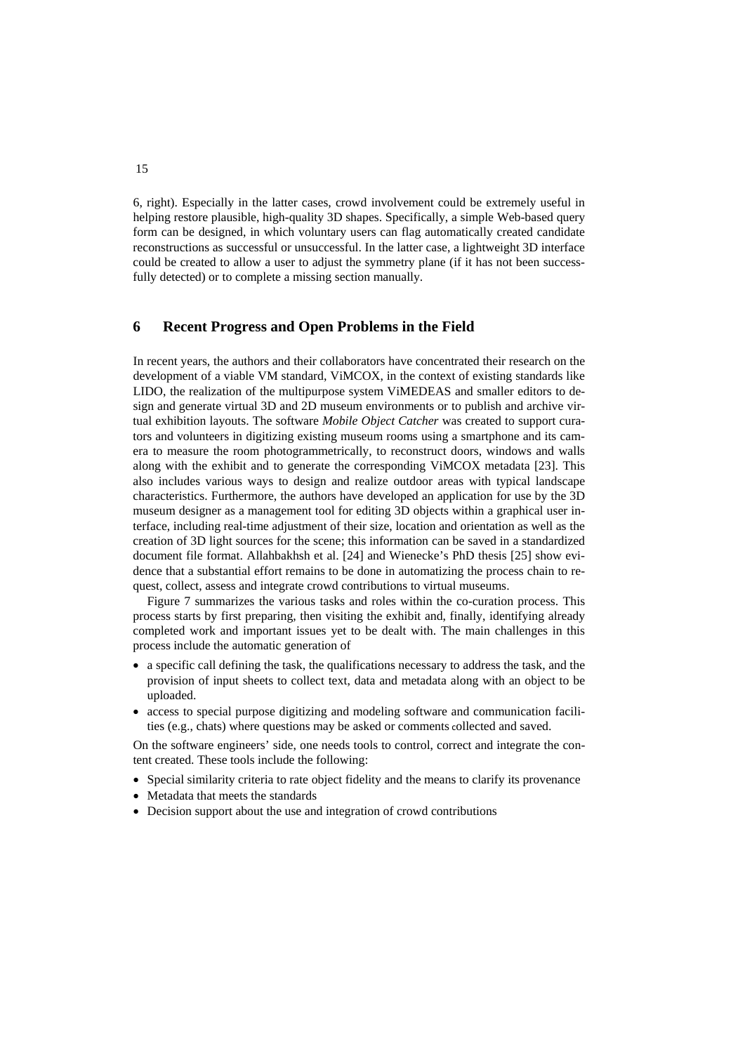6, right). Especially in the latter cases, crowd involvement could be extremely useful in helping restore plausible, high-quality 3D shapes. Specifically, a simple Web-based query form can be designed, in which voluntary users can flag automatically created candidate reconstructions as successful or unsuccessful. In the latter case, a lightweight 3D interface could be created to allow a user to adjust the symmetry plane (if it has not been successfully detected) or to complete a missing section manually.

## **6 Recent Progress and Open Problems in the Field**

In recent years, the authors and their collaborators have concentrated their research on the development of a viable VM standard, ViMCOX, in the context of existing standards like LIDO, the realization of the multipurpose system ViMEDEAS and smaller editors to design and generate virtual 3D and 2D museum environments or to publish and archive virtual exhibition layouts. The software *Mobile Object Catcher* was created to support curators and volunteers in digitizing existing museum rooms using a smartphone and its camera to measure the room photogrammetrically, to reconstruct doors, windows and walls along with the exhibit and to generate the corresponding ViMCOX metadata [23]. This also includes various ways to design and realize outdoor areas with typical landscape characteristics. Furthermore, the authors have developed an application for use by the 3D museum designer as a management tool for editing 3D objects within a graphical user interface, including real-time adjustment of their size, location and orientation as well as the creation of 3D light sources for the scene; this information can be saved in a standardized document file format. Allahbakhsh et al. [24] and Wienecke's PhD thesis [25] show evidence that a substantial effort remains to be done in automatizing the process chain to request, collect, assess and integrate crowd contributions to virtual museums.

Figure 7 summarizes the various tasks and roles within the co-curation process. This process starts by first preparing, then visiting the exhibit and, finally, identifying already completed work and important issues yet to be dealt with. The main challenges in this process include the automatic generation of

- a specific call defining the task, the qualifications necessary to address the task, and the provision of input sheets to collect text, data and metadata along with an object to be uploaded.
- access to special purpose digitizing and modeling software and communication facilities (e.g., chats) where questions may be asked or comments collected and saved.

On the software engineers' side, one needs tools to control, correct and integrate the content created. These tools include the following:

- Special similarity criteria to rate object fidelity and the means to clarify its provenance
- Metadata that meets the standards
- Decision support about the use and integration of crowd contributions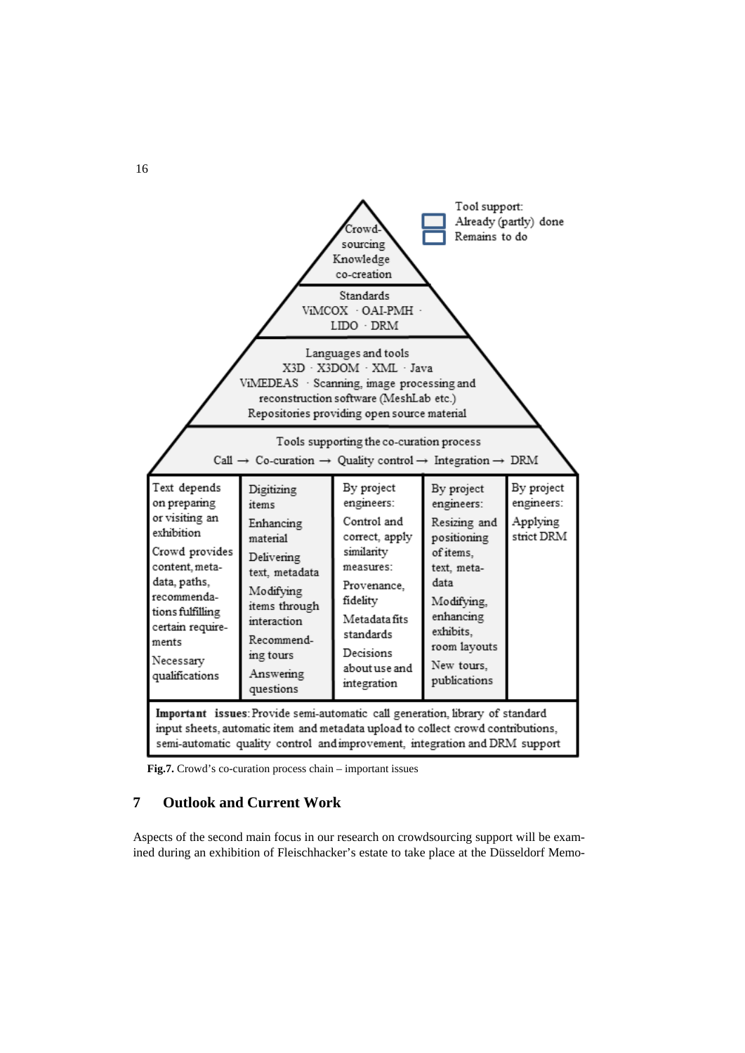

**Fig.7.** Crowd's co-curation process chain – important issues

## **7 Outlook and Current Work**

Aspects of the second main focus in our research on crowdsourcing support will be examined during an exhibition of Fleischhacker's estate to take place at the Düsseldorf Memo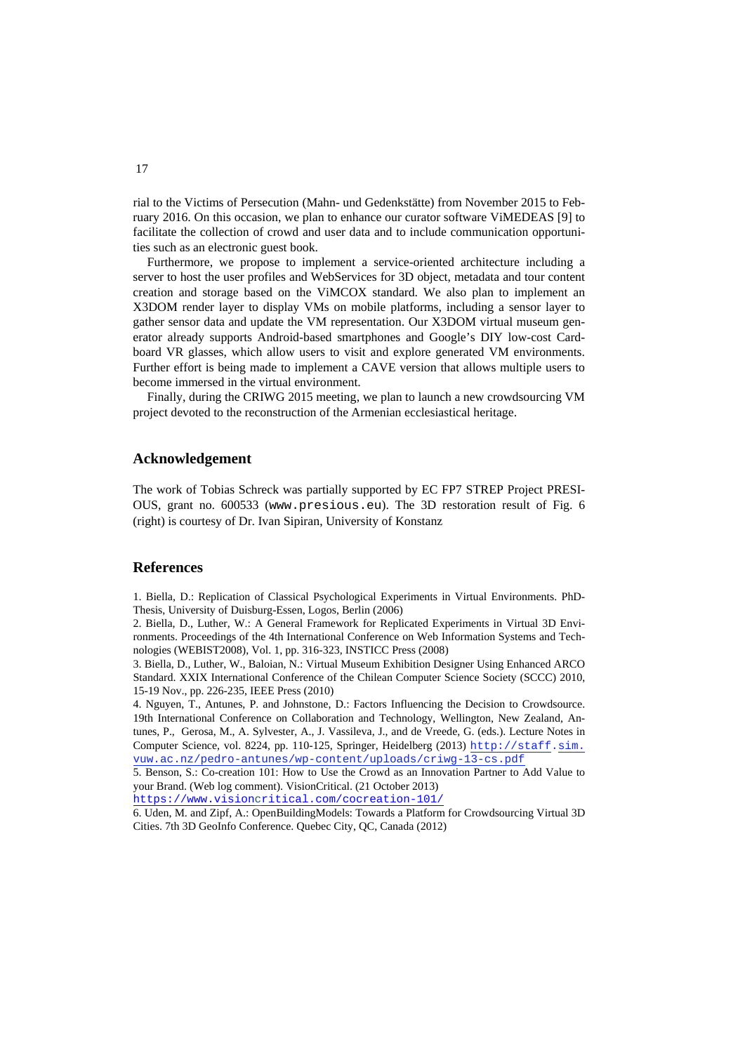rial to the Victims of Persecution (Mahn- und Gedenkstätte) from November 2015 to February 2016. On this occasion, we plan to enhance our curator software ViMEDEAS [9] to facilitate the collection of crowd and user data and to include communication opportunities such as an electronic guest book.

Furthermore, we propose to implement a service-oriented architecture including a server to host the user profiles and WebServices for 3D object, metadata and tour content creation and storage based on the ViMCOX standard. We also plan to implement an X3DOM render layer to display VMs on mobile platforms, including a sensor layer to gather sensor data and update the VM representation. Our X3DOM virtual museum generator already supports Android-based smartphones and Google's DIY low-cost Cardboard VR glasses, which allow users to visit and explore generated VM environments. Further effort is being made to implement a CAVE version that allows multiple users to become immersed in the virtual environment.

Finally, during the CRIWG 2015 meeting, we plan to launch a new crowdsourcing VM project devoted to the reconstruction of the Armenian ecclesiastical heritage.

### **Acknowledgement**

The work of Tobias Schreck was partially supported by EC FP7 STREP Project PRESI-OUS, grant no. 600533 (www.presious.eu). The 3D restoration result of Fig. 6 (right) is courtesy of Dr. Ivan Sipiran, University of Konstanz

## **References**

1. Biella, D.: Replication of Classical Psychological Experiments in Virtual Environments. PhD-Thesis, University of Duisburg-Essen, Logos, Berlin (2006)

2. Biella, D., Luther, W.: A General Framework for Replicated Experiments in Virtual 3D Environments. Proceedings of the 4th International Conference on Web Information Systems and Technologies (WEBIST2008), Vol. 1, pp. 316-323, INSTICC Press (2008)

3. Biella, D., Luther, W., Baloian, N.: Virtual Museum Exhibition Designer Using Enhanced ARCO Standard. XXIX International Conference of the Chilean Computer Science Society (SCCC) 2010, 15-19 Nov., pp. 226-235, IEEE Press (2010)

4. Nguyen, T., Antunes, P. and Johnstone, D.: Factors Influencing the Decision to Crowdsource. 19th International Conference on Collaboration and Technology, Wellington, New Zealand, Antunes, P., Gerosa, M., A. Sylvester, A., J. Vassileva, J., and de Vreede, G. (eds.). Lecture Notes in Computer Science, vol. 8224, pp. 110-125, Springer, Heidelberg (2013) [http://staff.](http://staff/)sim. vuw.ac.nz/pedro-antunes/wp-content/uploads/criwg-13-cs.pdf

5. Benson, S.: Co-creation 101: How to Use the Crowd as an Innovation Partner to Add Value to your Brand. (Web log comment). VisionCritical. (21 October 2013)

<https://www.visioncritical.com/cocreation-101/>

6. Uden, M. and Zipf, A.: OpenBuildingModels: Towards a Platform for Crowdsourcing Virtual 3D Cities. 7th 3D GeoInfo Conference. Quebec City, QC, Canada (2012)